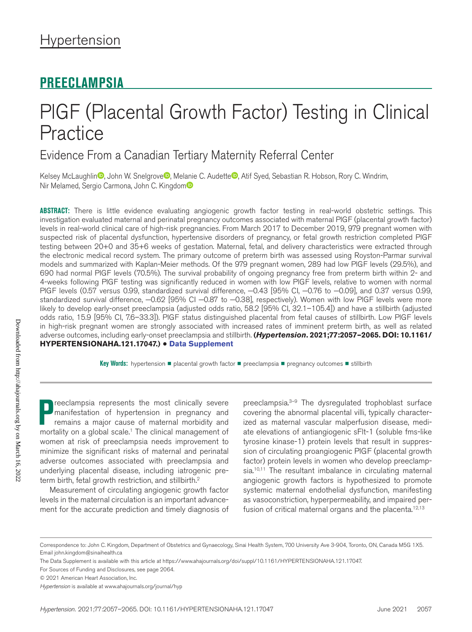# **PREECLAMPSIA**

# PlGF (Placental Growth Factor) Testing in Clinical **Practice**

Evidence From a Canadian Tertiary Maternity Referral Center

Kelsey McLaughlin , John W. Snelgrove , Melanie C. Audette , Atif Syed, Sebastian R. Hobson, Rory C. Windrim, Nir Melamed, Sergio Carmona, John C. Kingdom<sup>®</sup>

**ABSTRACT:** There is little evidence evaluating angiogenic growth factor testing in real-world obstetric settings. This investigation evaluated maternal and perinatal pregnancy outcomes associated with maternal PlGF (placental growth factor) levels in real-world clinical care of high-risk pregnancies. From March 2017 to December 2019, 979 pregnant women with suspected risk of placental dysfunction, hypertensive disorders of pregnancy, or fetal growth restriction completed PlGF testing between 20+0 and 35+6 weeks of gestation. Maternal, fetal, and delivery characteristics were extracted through the electronic medical record system. The primary outcome of preterm birth was assessed using Royston-Parmar survival models and summarized with Kaplan-Meier methods. Of the 979 pregnant women, 289 had low PlGF levels (29.5%), and 690 had normal PlGF levels (70.5%). The survival probability of ongoing pregnancy free from preterm birth within 2- and 4-weeks following PlGF testing was significantly reduced in women with low PlGF levels, relative to women with normal PIGF levels (0.57 versus 0.99, standardized survival difference, -0.43 [95% CI, -0.76 to -0.09], and 0.37 versus 0.99, standardized survival difference, -0.62 [95% CI -0.87 to -0.38], respectively). Women with low PlGF levels were more likely to develop early-onset preeclampsia (adjusted odds ratio, 58.2 [95% CI, 32.1–105.4]) and have a stillbirth (adjusted odds ratio, 15.9 [95% CI, 7.6–33.3]). PlGF status distinguished placental from fetal causes of stillbirth. Low PlGF levels in high-risk pregnant women are strongly associated with increased rates of imminent preterm birth, as well as related adverse outcomes, including early-onset preeclampsia and stillbirth. **(***Hypertension***. 2021;77:2057–2065. DOI: 10.1161/ HYPERTENSIONAHA.121.17047.)** • **Data Supplement**

Key Words: hypertension ■ placental growth factor ■ preeclampsia ■ pregnancy outcomes ■ stillbirth

**P** reeclampsia represents the most clinically severe manifestation of hypertension in pregnancy and remains a major cause of maternal morbidity and mortality on a global scale.<sup>1</sup> The clinical management of reeclampsia represents the most clinically severe manifestation of hypertension in pregnancy and remains a major cause of maternal morbidity and women at risk of preeclampsia needs improvement to minimize the significant risks of maternal and perinatal adverse outcomes associated with preeclampsia and underlying placental disease, including iatrogenic preterm birth, fetal growth restriction, and stillbirth.<sup>2</sup>

Measurement of circulating angiogenic growth factor levels in the maternal circulation is an important advancement for the accurate prediction and timely diagnosis of

preeclampsia.<sup>3–9</sup> The dysregulated trophoblast surface covering the abnormal placental villi, typically characterized as maternal vascular malperfusion disease, mediate elevations of antiangiogenic sFlt-1 (soluble fms-like tyrosine kinase-1) protein levels that result in suppression of circulating proangiogenic PlGF (placental growth factor) protein levels in women who develop preeclampsia.<sup>10,11</sup> The resultant imbalance in circulating maternal angiogenic growth factors is hypothesized to promote systemic maternal endothelial dysfunction, manifesting as vasoconstriction, hyperpermeability, and impaired perfusion of critical maternal organs and the placenta.<sup>12,13</sup>

Correspondence to: John C. Kingdom, Department of Obstetrics and Gynaecology, Sinai Health System, 700 University Ave 3-904, Toronto, ON, Canada M5G 1X5. Email [john.kingdom@sinaihealth.ca](mailto:john.kingdom@sinaihealth.ca)

The Data Supplement is available with this article at https://www.ahajournals.org/doi/suppl/10.1161/HYPERTENSIONAHA.121.17047.

For Sources of Funding and Disclosures, see page 2064.

<sup>© 2021</sup> American Heart Association, Inc.

*Hypertension* is available at www.ahajournals.org/journal/hyp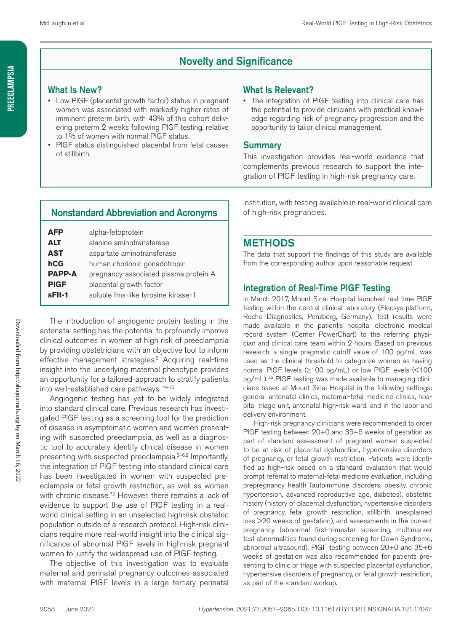# Novelty and Significance

#### What Is New?

- Low PlGF (placental growth factor) status in pregnant women was associated with markedly higher rates of imminent preterm birth, with 43% of this cohort delivering preterm 2 weeks following PlGF testing, relative to 1% of women with normal PlGF status.
- PIGF status distinguished placental from fetal causes of stillbirth.

#### What Is Relevant?

The integration of PIGF testing into clinical care has the potential to provide clinicians with practical knowledge regarding risk of pregnancy progression and the opportunity to tailor clinical management.

#### **Summary**

This investigation provides real-world evidence that complements previous research to support the integration of PlGF testing in high-risk pregnancy care.

### Nonstandard Abbreviation and Acronyms

| AFP           | alpha-fetoprotein                     |  |
|---------------|---------------------------------------|--|
| <b>ALT</b>    | alanine aminotransferase              |  |
| AST           | aspartate aminotransferase            |  |
| hCG           | human chorionic gonadotropin          |  |
| <b>PAPP-A</b> | pregnancy-associated plasma protein A |  |
| <b>PIGF</b>   | placental growth factor               |  |
| sFit-1        | soluble fms-like tyrosine kinase-1    |  |
|               |                                       |  |

The introduction of angiogenic protein testing in the antenatal setting has the potential to profoundly improve clinical outcomes in women at high risk of preeclampsia by providing obstetricians with an objective tool to inform effective management strategies.<sup>5</sup> Acquiring real-time insight into the underlying maternal phenotype provides an opportunity for a tailored-approach to stratify patients into well-established care pathways.<sup>14-16</sup>

Angiogenic testing has yet to be widely integrated into standard clinical care. Previous research has investigated PlGF testing as a screening tool for the prediction of disease in asymptomatic women and women presenting with suspected preeclampsia, as well as a diagnostic tool to accurately identify clinical disease in women presenting with suspected preeclampsia.<sup>3–6,8</sup> Importantly, the integration of PlGF testing into standard clinical care has been investigated in women with suspected preeclampsia or fetal growth restriction, as well as women with chronic disease.<sup>7,9</sup> However, there remains a lack of evidence to support the use of PlGF testing in a realworld clinical setting in an unselected high-risk obstetric population outside of a research protocol. High-risk clinicians require more real-world insight into the clinical significance of abnormal PlGF levels in high-risk pregnant women to justify the widespread use of PlGF testing.

The objective of this investigation was to evaluate maternal and perinatal pregnancy outcomes associated with maternal PlGF levels in a large tertiary perinatal

institution, with testing available in real-world clinical care of high-risk pregnancies.

## **METHODS**

The data that support the findings of this study are available from the corresponding author upon reasonable request.

#### Integration of Real-Time PlGF Testing

In March 2017, Mount Sinai Hospital launched real-time PlGF testing within the central clinical laboratory (Elecsys platform, Roche Diagnostics, Penzberg, Germany). Test results were made available in the patient's hospital electronic medical record system (Cerner PowerChart) to the referring physician and clinical care team within 2 hours. Based on previous research, a single pragmatic cutoff value of 100 pg/mL was used as the clinical threshold to categorize women as having normal PlGF levels (≥100 pg/mL) or low PlGF levels (<100 pg/mL).<sup>5,6</sup> PIGF testing was made available to managing clinicians based at Mount Sinai Hospital in the following settings: general antenatal clinics, maternal-fetal medicine clinics, hospital triage unit, antenatal high-risk ward, and in the labor and delivery environment.

High-risk pregnancy clinicians were recommended to order PlGF testing between 20+0 and 35+6 weeks of gestation as part of standard assessment of pregnant women suspected to be at risk of placental dysfunction, hypertensive disorders of pregnancy, or fetal growth restriction. Patients were identified as high-risk based on a standard evaluation that would prompt referral to maternal-fetal medicine evaluation, including prepregnancy health (autoimmune disorders, obesity, chronic hypertension, advanced reproductive age, diabetes), obstetric history (history of placental dysfunction, hypertensive disorders of pregnancy, fetal growth restriction, stillbirth, unexplained loss >20 weeks of gestation), and assessments in the current pregnancy (abnormal first-trimester screening, multimarker test abnormalities found during screening for Down Syndrome, abnormal ultrasound). PlGF testing between 20+0 and 35+6 weeks of gestation was also recommended for patients presenting to clinic or triage with suspected placental dysfunction, hypertensive disorders of pregnancy, or fetal growth restriction, as part of the standard workup.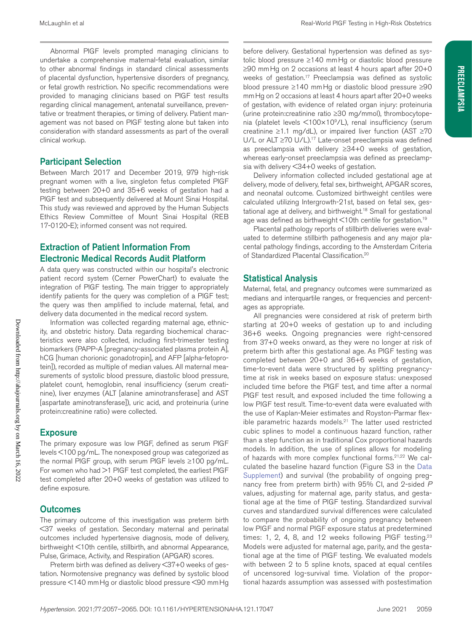Abnormal PlGF levels prompted managing clinicians to undertake a comprehensive maternal-fetal evaluation, similar to other abnormal findings in standard clinical assessments of placental dysfunction, hypertensive disorders of pregnancy, or fetal growth restriction. No specific recommendations were provided to managing clinicians based on PlGF test results regarding clinical management, antenatal surveillance, preventative or treatment therapies, or timing of delivery. Patient management was not based on PlGF testing alone but taken into consideration with standard assessments as part of the overall clinical workup.

#### Participant Selection

Between March 2017 and December 2019, 979 high-risk pregnant women with a live, singleton fetus completed PlGF testing between 20+0 and 35+6 weeks of gestation had a PlGF test and subsequently delivered at Mount Sinai Hospital. This study was reviewed and approved by the Human Subjects Ethics Review Committee of Mount Sinai Hospital (REB 17-0120-E); informed consent was not required.

### Extraction of Patient Information From Electronic Medical Records Audit Platform

A data query was constructed within our hospital's electronic patient record system (Cerner PowerChart) to evaluate the integration of PlGF testing. The main trigger to appropriately identify patients for the query was completion of a PlGF test; the query was then amplified to include maternal, fetal, and delivery data documented in the medical record system.

Information was collected regarding maternal age, ethnicity, and obstetric history. Data regarding biochemical characteristics were also collected, including first-trimester testing biomarkers (PAPP-A [pregnancy-associated plasma protein A], hCG [human chorionic gonadotropin], and AFP [alpha-fetoprotein]), recorded as multiple of median values. All maternal measurements of systolic blood pressure, diastolic blood pressure, platelet count, hemoglobin, renal insufficiency (serum creatinine), liver enzymes (ALT [alanine aminotransferase] and AST [aspartate aminotransferase]), uric acid, and proteinuria (urine protein:creatinine ratio) were collected.

## **Exposure**

The primary exposure was low PlGF, defined as serum PlGF levels <100 pg/mL. The nonexposed group was categorized as the normal PlGF group, with serum PlGF levels ≥100 pg/mL. For women who had >1 PIGF test completed, the earliest PIGF test completed after 20+0 weeks of gestation was utilized to define exposure.

# **Outcomes**

The primary outcome of this investigation was preterm birth <37 weeks of gestation. Secondary maternal and perinatal outcomes included hypertensive diagnosis, mode of delivery, birthweight <10th centile, stillbirth, and abnormal Appearance, Pulse, Grimace, Activity, and Respiration (APGAR) scores.

Preterm birth was defined as delivery <37+0 weeks of gestation. Normotensive pregnancy was defined by systolic blood pressure <140 mmHg or diastolic blood pressure <90 mmHg

before delivery. Gestational hypertension was defined as systolic blood pressure ≥140 mmHg or diastolic blood pressure ≥90 mmHg on 2 occasions at least 4 hours apart after 20+0 weeks of gestation.<sup>17</sup> Preeclampsia was defined as systolic blood pressure ≥140 mmHg or diastolic blood pressure ≥90 mmHg on 2 occasions at least 4 hours apart after 20+0 weeks of gestation, with evidence of related organ injury: proteinuria (urine protein:creatinine ratio ≥30 mg/mmol), thrombocytopenia (platelet levels <100×109/L), renal insufficiency (serum creatinine ≥1.1 mg/dL), or impaired liver function (AST ≥70 U/L or ALT ≥70 U/L).<sup>17</sup> Late-onset preeclampsia was defined as preeclampsia with delivery ≥34+0 weeks of gestation, whereas early-onset preeclampsia was defined as preeclampsia with delivery <34+0 weeks of gestation.

Delivery information collected included gestational age at delivery, mode of delivery, fetal sex, birthweight, APGAR scores, and neonatal outcome. Customized birthweight centiles were calculated utilizing Intergrowth-21st, based on fetal sex, gestational age at delivery, and birthweight.<sup>18</sup> Small for gestational age was defined as birthweight  $\leq 10$ th centile for gestation.<sup>19</sup>

Placental pathology reports of stillbirth deliveries were evaluated to determine stillbirth pathogenesis and any major placental pathology findings, according to the Amsterdam Criteria of Standardized Placental Classification.20

#### Statistical Analysis

Maternal, fetal, and pregnancy outcomes were summarized as medians and interquartile ranges, or frequencies and percentages as appropriate.

All pregnancies were considered at risk of preterm birth starting at 20+0 weeks of gestation up to and including 36+6 weeks. Ongoing pregnancies were right-censored from 37+0 weeks onward, as they were no longer at risk of preterm birth after this gestational age. As PlGF testing was completed between 20+0 and 36+6 weeks of gestation, time-to-event data were structured by splitting pregnancytime at risk in weeks based on exposure status: unexposed included time before the PlGF test, and time after a normal PlGF test result, and exposed included the time following a low PlGF test result. Time-to-event data were evaluated with the use of Kaplan-Meier estimates and Royston-Parmar flexible parametric hazards models.<sup>21</sup> The latter used restricted cubic splines to model a continuous hazard function, rather than a step function as in traditional Cox proportional hazards models. In addition, the use of splines allows for modeling of hazards with more complex functional forms.<sup>21,22</sup> We calculated the baseline hazard function (Figure S3 in the Data Supplement) and survival (the probability of ongoing pregnancy free from preterm birth) with 95% CI, and 2-sided *P* values, adjusting for maternal age, parity status, and gestational age at the time of PlGF testing. Standardized survival curves and standardized survival differences were calculated to compare the probability of ongoing pregnancy between low PlGF and normal PlGF exposure status at predetermined times: 1, 2, 4, 8, and 12 weeks following PIGF testing.<sup>23</sup> Models were adjusted for maternal age, parity, and the gestational age at the time of PlGF testing. We evaluated models with between 2 to 5 spline knots, spaced at equal centiles of uncensored log-survival time. Violation of the proportional hazards assumption was assessed with postestimation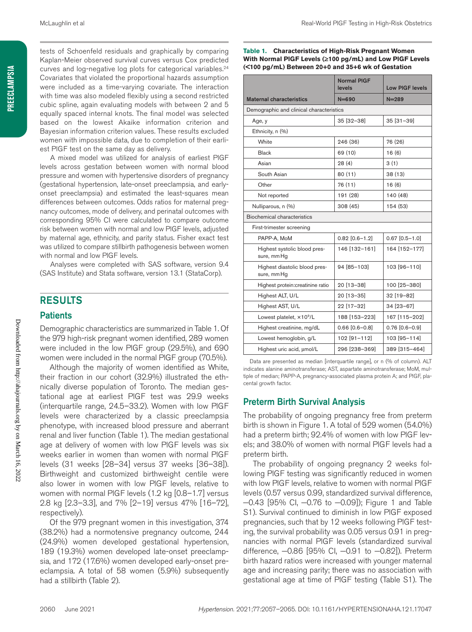tests of Schoenfeld residuals and graphically by comparing Kaplan-Meier observed survival curves versus Cox predicted curves and log-negative log plots for categorical variables.<sup>24</sup> Covariates that violated the proportional hazards assumption were included as a time-varying covariate. The interaction with time was also modeled flexibly using a second restricted cubic spline, again evaluating models with between 2 and 5 equally spaced internal knots. The final model was selected based on the lowest Akaike information criterion and Bayesian information criterion values. These results excluded women with impossible data, due to completion of their earliest PlGF test on the same day as delivery.

A mixed model was utilized for analysis of earliest PlGF levels across gestation between women with normal blood pressure and women with hypertensive disorders of pregnancy (gestational hypertension, late-onset preeclampsia, and earlyonset preeclampsia) and estimated the least-squares mean differences between outcomes. Odds ratios for maternal pregnancy outcomes, mode of delivery, and perinatal outcomes with corresponding 95% CI were calculated to compare outcome risk between women with normal and low PlGF levels, adjusted by maternal age, ethnicity, and parity status. Fisher exact test was utilized to compare stillbirth pathogenesis between women with normal and low PlGF levels.

Analyses were completed with SAS software, version 9.4 (SAS Institute) and Stata software, version 13.1 (StataCorp).

#### RESULTS

#### **Patients**

Demographic characteristics are summarized in Table 1. Of the 979 high-risk pregnant women identified, 289 women were included in the low PlGF group (29.5%), and 690 women were included in the normal PlGF group (70.5%).

Although the majority of women identified as White, their fraction in our cohort (32.9%) illustrated the ethnically diverse population of Toronto. The median gestational age at earliest PlGF test was 29.9 weeks (interquartile range, 24.5–33.2). Women with low PlGF levels were characterized by a classic preeclampsia phenotype, with increased blood pressure and aberrant renal and liver function (Table 1). The median gestational age at delivery of women with low PlGF levels was six weeks earlier in women than women with normal PlGF levels (31 weeks [28–34] versus 37 weeks [36–38]). Birthweight and customized birthweight centile were also lower in women with low PlGF levels, relative to women with normal PlGF levels (1.2 kg [0.8–1.7] versus 2.8 kg [2.3–3.3], and 7% [2–19] versus 47% [16–72], respectively).

Of the 979 pregnant women in this investigation, 374 (38.2%) had a normotensive pregnancy outcome, 244 (24.9%) women developed gestational hypertension, 189 (19.3%) women developed late-onset preeclampsia, and 172 (17.6%) women developed early-onset preeclampsia. A total of 58 women (5.9%) subsequently had a stillbirth (Table 2).

**Table 1. Characteristics of High-Risk Pregnant Women With Normal PlGF Levels (≥100 pg/mL) and Low PlGF Levels (<100 pg/mL) Between 20+0 and 35+6 wk of Gestation**

|                                              | <b>Normal PIGF</b><br>levels | <b>Low PIGF levels</b> |  |  |  |  |
|----------------------------------------------|------------------------------|------------------------|--|--|--|--|
| <b>Maternal characteristics</b>              | $N = 690$                    | $N = 289$              |  |  |  |  |
| Demographic and clinical characteristics     |                              |                        |  |  |  |  |
| Age, y                                       | 35 [32-38]                   | 35 [31-39]             |  |  |  |  |
| Ethnicity, n (%)                             |                              |                        |  |  |  |  |
| White                                        | 246 (36)                     | 76 (26)                |  |  |  |  |
| Black                                        | 69 (10)                      | 16(6)                  |  |  |  |  |
| Asian                                        | 28(4)                        | 3(1)                   |  |  |  |  |
| South Asian                                  | 80(11)                       | 38 (13)                |  |  |  |  |
| Other                                        | 76 (11)                      | 16(6)                  |  |  |  |  |
| Not reported                                 | 191 (28)                     | 140 (48)               |  |  |  |  |
| Nulliparous, n (%)                           | 308 (45)                     | 154 (53)               |  |  |  |  |
| Biochemical characteristics                  |                              |                        |  |  |  |  |
| First-trimester screening                    |                              |                        |  |  |  |  |
| PAPP-A, MoM                                  | $0.82$ [0.6-1.2]             | $0.67$ [0.5-1.0]       |  |  |  |  |
| Highest systolic blood pres-<br>sure, mm Hg  | 146 [132-161]                | 164 [152-177]          |  |  |  |  |
| Highest diastolic blood pres-<br>sure, mm Hg | 94 [85-103]                  | 103 [96-110]           |  |  |  |  |
| Highest protein:creatinine ratio             | 20 [13-38]                   | 100 [25-380]           |  |  |  |  |
| Highest ALT, U/L                             | 20 [13-35]                   | 32 [19-82]             |  |  |  |  |
| Highest AST, U/L                             | 22 [17-32]                   | 34 [23-67]             |  |  |  |  |
| Lowest platelet, $\times$ 10 <sup>9</sup> /L | 188 [153-223]                | 167 [115-202]          |  |  |  |  |
| Highest creatinine, mg/dL                    | $0.66$ [0.6-0.8]             | $0.76$ $[0.6 - 0.9]$   |  |  |  |  |
| Lowest hemoglobin, g/L                       | 102 [91-112]                 | 103 [95-114]           |  |  |  |  |
| Highest uric acid, umol/L                    | 296 [238-369]                | 389 [315-464]          |  |  |  |  |

Data are presented as median [interquartile range], or n (% of column). ALT indicates alanine aminotransferase; AST, aspartate aminotransferase; MoM, multiple of median; PAPP-A, pregnancy-associated plasma protein A; and PlGF, placental growth factor.

#### Preterm Birth Survival Analysis

The probability of ongoing pregnancy free from preterm birth is shown in Figure 1. A total of 529 women (54.0%) had a preterm birth; 92.4% of women with low PlGF levels; and 38.0% of women with normal PlGF levels had a preterm birth.

The probability of ongoing pregnancy 2 weeks following PlGF testing was significantly reduced in women with low PlGF levels, relative to women with normal PlGF levels (0.57 versus 0.99, standardized survival difference, −0.43 [95% CI, −0.76 to −0.09]); Figure 1 and Table S1). Survival continued to diminish in low PlGF exposed pregnancies, such that by 12 weeks following PlGF testing, the survival probability was 0.05 versus 0.91 in pregnancies with normal PlGF levels (standardized survival difference, −0.86 [95% CI, −0.91 to −0.82]). Preterm birth hazard ratios were increased with younger maternal age and increasing parity; there was no association with gestational age at time of PlGF testing (Table S1). The

Downloaded from http://ahajournals.org by on March 16, 2022

Downloaded from http://ahajournals.org by on March 16, 2022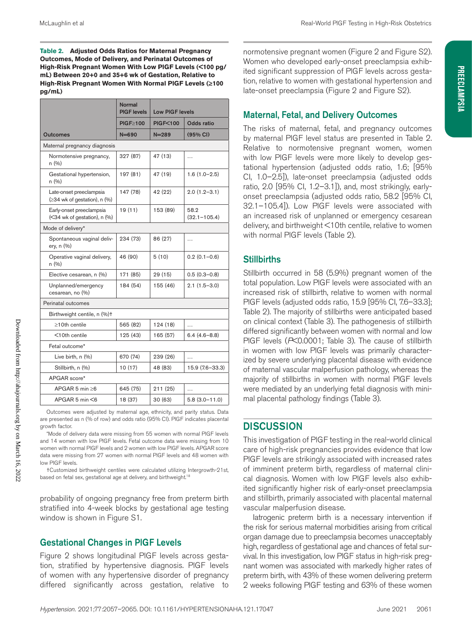**Table 2. Adjusted Odds Ratios for Maternal Pregnancy Outcomes, Mode of Delivery, and Perinatal Outcomes of High-Risk Pregnant Women With Low PlGF Levels (<100 pg/ mL) Between 20+0 and 35+6 wk of Gestation, Relative to High-Risk Pregnant Women With Normal PlGF Levels (≥100 pg/mL)**

|                                                             | Normal<br><b>PIGF</b> levels | <b>Low PIGF levels</b> |                          |  |  |  |
|-------------------------------------------------------------|------------------------------|------------------------|--------------------------|--|--|--|
|                                                             | PIGF>100                     | <b>PIGF&lt;100</b>     | Odds ratio               |  |  |  |
| Outcomes                                                    | $N = 690$                    | $N = 289$              | (95% CI)                 |  |  |  |
| Maternal pregnancy diagnosis                                |                              |                        |                          |  |  |  |
| Normotensive pregnancy,<br>n (%)                            | 327 (87)                     | 47 (13)                | .                        |  |  |  |
| Gestational hypertension,<br>n (%)                          | 197 (81)                     | 47 (19)                | $1.6(1.0-2.5)$           |  |  |  |
| Late-onset preeclampsia<br>$(≥34$ wk of gestation), n $(%)$ | 147 (78)                     | 42 (22)                | $2.0(1.2 - 3.1)$         |  |  |  |
| Early-onset preeclampsia<br>(<34 wk of gestation), n (%)    | 19(11)                       | 153 (89)               | 58.2<br>$(32.1 - 105.4)$ |  |  |  |
| Mode of delivery*                                           |                              |                        |                          |  |  |  |
| Spontaneous vaginal deliv-<br>ery, n (%)                    | 234 (73)                     | 86 (27)                | .                        |  |  |  |
| Operative vaginal delivery,<br>n (%)                        | 46 (90)                      | 5(10)                  | $0.2(0.1 - 0.6)$         |  |  |  |
| Elective cesarean, n (%)                                    | 171 (85)                     | 29 (15)                | $0.5(0.3 - 0.8)$         |  |  |  |
| Unplanned/emergency<br>cesarean, no (%)                     | 184 (54)                     | 155 (46)               | $2.1(1.5-3.0)$           |  |  |  |
| Perinatal outcomes                                          |                              |                        |                          |  |  |  |
| Birthweight centile, n (%)+                                 |                              |                        |                          |  |  |  |
| $\geq$ 10th centile                                         | 565 (82)                     | 124 (18)               | .                        |  |  |  |
| <10th centile                                               | 125 (43)                     | 165 (57)               | $6.4(4.6-8.8)$           |  |  |  |
| Fetal outcome*                                              |                              |                        |                          |  |  |  |
| Live birth, n (%)                                           | 670 (74)                     | 239 (26)               | $\cdots$                 |  |  |  |
| Stillbirth, n (%)                                           | 10 (17)                      | 48 (83)                | 15.9 (7.6-33.3)          |  |  |  |
| APGAR score*                                                |                              |                        |                          |  |  |  |
| APGAR 5 min $\geq 6$                                        | 645 (75)                     | 211 (25)               | $\ddotsc$                |  |  |  |
| APGAR 5 min $<$ 6                                           | 18 (37)                      | 30 (63)                | $5.8(3.0 - 11.0)$        |  |  |  |

Outcomes were adjusted by maternal age, ethnicity, and parity status. Data are presented as n (% of row) and odds ratio (95% CI). PlGF indicates placental growth factor.

\*Mode of delivery data were missing from 55 women with normal PlGF levels and 14 women with low PlGF levels. Fetal outcome data were missing from 10 women with normal PlGF levels and 2 women with low PlGF levels. APGAR score data were missing from 27 women with normal PlGF levels and 48 women with low PlGF levels.

†Customized birthweight centiles were calculated utilizing Intergrowth-21st, based on fetal sex, gestational age at delivery, and birthweight.<sup>18</sup>

probability of ongoing pregnancy free from preterm birth stratified into 4-week blocks by gestational age testing window is shown in Figure S1.

#### Gestational Changes in PlGF Levels

Figure 2 shows longitudinal PlGF levels across gestation, stratified by hypertensive diagnosis. PlGF levels of women with any hypertensive disorder of pregnancy differed significantly across gestation, relative to

normotensive pregnant women (Figure 2 and Figure S2). Women who developed early-onset preeclampsia exhibited significant suppression of PlGF levels across gestation, relative to women with gestational hypertension and late-onset preeclampsia (Figure 2 and Figure S2).

#### Maternal, Fetal, and Delivery Outcomes

The risks of maternal, fetal, and pregnancy outcomes by maternal PlGF level status are presented in Table 2. Relative to normotensive pregnant women, women with low PlGF levels were more likely to develop gestational hypertension (adjusted odds ratio, 1.6; [95% CI, 1.0–2.5]), late-onset preeclampsia (adjusted odds ratio, 2.0 [95% CI, 1.2–3.1]), and, most strikingly, earlyonset preeclampsia (adjusted odds ratio, 58.2 [95% CI, 32.1–105.4]). Low PlGF levels were associated with an increased risk of unplanned or emergency cesarean delivery, and birthweight <10th centile, relative to women with normal PlGF levels (Table 2).

#### **Stillbirths**

Stillbirth occurred in 58 (5.9%) pregnant women of the total population. Low PlGF levels were associated with an increased risk of stillbirth, relative to women with normal PlGF levels (adjusted odds ratio, 15.9 [95% CI, 7.6–33.3]; Table 2). The majority of stillbirths were anticipated based on clinical context (Table 3). The pathogenesis of stillbirth differed significantly between women with normal and low PlGF levels (*P*<0.0001; Table 3). The cause of stillbirth in women with low PlGF levels was primarily characterized by severe underlying placental disease with evidence of maternal vascular malperfusion pathology, whereas the majority of stillbirths in women with normal PlGF levels were mediated by an underlying fetal diagnosis with minimal placental pathology findings (Table 3).

#### **DISCUSSION**

This investigation of PlGF testing in the real-world clinical care of high-risk pregnancies provides evidence that low PlGF levels are strikingly associated with increased rates of imminent preterm birth, regardless of maternal clinical diagnosis. Women with low PlGF levels also exhibited significantly higher risk of early-onset preeclampsia and stillbirth, primarily associated with placental maternal vascular malperfusion disease.

Iatrogenic preterm birth is a necessary intervention if the risk for serious maternal morbidities arising from critical organ damage due to preeclampsia becomes unacceptably high, regardless of gestational age and chances of fetal survival. In this investigation, low PlGF status in high-risk pregnant women was associated with markedly higher rates of preterm birth, with 43% of these women delivering preterm 2 weeks following PlGF testing and 63% of these women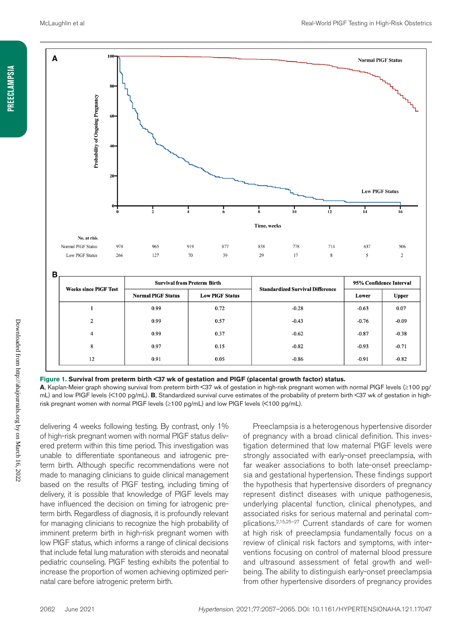

**Figure 1. Survival from preterm birth <37 wk of gestation and PlGF (placental growth factor) status.**

**A**, Kaplan-Meier graph showing survival from preterm birth <37 wk of gestation in high-risk pregnant women with normal PlGF levels (≥100 pg/ mL) and low PlGF levels (<100 pg/mL). **B**, Standardized survival curve estimates of the probability of preterm birth <37 wk of gestation in highrisk pregnant women with normal PlGF levels (≥100 pg/mL) and low PlGF levels (<100 pg/mL).

delivering 4 weeks following testing. By contrast, only 1% of high-risk pregnant women with normal PlGF status delivered preterm within this time period. This investigation was unable to differentiate spontaneous and iatrogenic preterm birth. Although specific recommendations were not made to managing clinicians to guide clinical management based on the results of PlGF testing, including timing of delivery, it is possible that knowledge of PlGF levels may have influenced the decision on timing for iatrogenic preterm birth. Regardless of diagnosis, it is profoundly relevant for managing clinicians to recognize the high probability of imminent preterm birth in high-risk pregnant women with low PlGF status, which informs a range of clinical decisions that include fetal lung maturation with steroids and neonatal pediatric counseling. PlGF testing exhibits the potential to increase the proportion of women achieving optimized perinatal care before iatrogenic preterm birth.

Preeclampsia is a heterogenous hypertensive disorder of pregnancy with a broad clinical definition. This investigation determined that low maternal PlGF levels were strongly associated with early-onset preeclampsia, with far weaker associations to both late-onset preeclampsia and gestational hypertension. These findings support the hypothesis that hypertensive disorders of pregnancy represent distinct diseases with unique pathogenesis, underlying placental function, clinical phenotypes, and associated risks for serious maternal and perinatal complications.2,15,25–27 Current standards of care for women at high risk of preeclampsia fundamentally focus on a review of clinical risk factors and symptoms, with interventions focusing on control of maternal blood pressure and ultrasound assessment of fetal growth and wellbeing. The ability to distinguish early-onset preeclampsia from other hypertensive disorders of pregnancy provides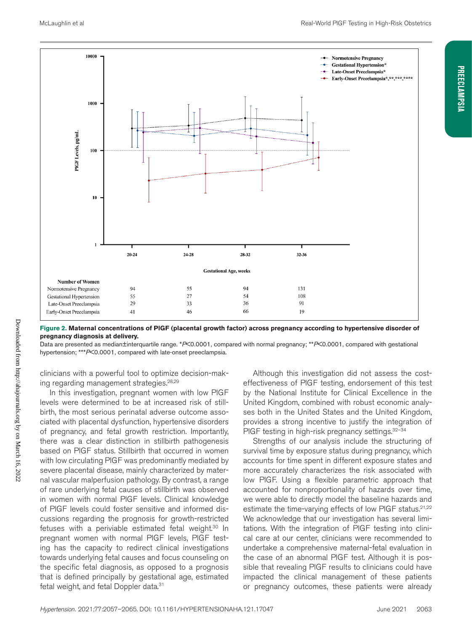**Preeclampsia**

**PREECLAMPSIA** 



#### **Figure 2. Maternal concentrations of PlGF (placental growth factor) across pregnancy according to hypertensive disorder of pregnancy diagnosis at delivery.**

Data are presented as median±interquartile range. \**P*<0.0001, compared with normal pregnancy; \*\**P*<0.0001, compared with gestational hypertension; \*\*\**P*<0.0001, compared with late-onset preeclampsia.

clinicians with a powerful tool to optimize decision-making regarding management strategies.28,29

In this investigation, pregnant women with low PlGF levels were determined to be at increased risk of stillbirth, the most serious perinatal adverse outcome associated with placental dysfunction, hypertensive disorders of pregnancy, and fetal growth restriction. Importantly, there was a clear distinction in stillbirth pathogenesis based on PlGF status. Stillbirth that occurred in women with low circulating PlGF was predominantly mediated by severe placental disease, mainly characterized by maternal vascular malperfusion pathology. By contrast, a range of rare underlying fetal causes of stillbirth was observed in women with normal PlGF levels. Clinical knowledge of PlGF levels could foster sensitive and informed discussions regarding the prognosis for growth-restricted fetuses with a periviable estimated fetal weight.<sup>30</sup> In pregnant women with normal PlGF levels, PlGF testing has the capacity to redirect clinical investigations towards underlying fetal causes and focus counseling on the specific fetal diagnosis, as opposed to a prognosis that is defined principally by gestational age, estimated fetal weight, and fetal Doppler data.31

Although this investigation did not assess the costeffectiveness of PlGF testing, endorsement of this test by the National Institute for Clinical Excellence in the United Kingdom, combined with robust economic analyses both in the United States and the United Kingdom, provides a strong incentive to justify the integration of PIGF testing in high-risk pregnancy settings. 32-34

Strengths of our analysis include the structuring of survival time by exposure status during pregnancy, which accounts for time spent in different exposure states and more accurately characterizes the risk associated with low PlGF. Using a flexible parametric approach that accounted for nonproportionality of hazards over time, we were able to directly model the baseline hazards and estimate the time-varying effects of low PIGF status.<sup>21,22</sup> We acknowledge that our investigation has several limitations. With the integration of PlGF testing into clinical care at our center, clinicians were recommended to undertake a comprehensive maternal-fetal evaluation in the case of an abnormal PlGF test. Although it is possible that revealing PlGF results to clinicians could have impacted the clinical management of these patients or pregnancy outcomes, these patients were already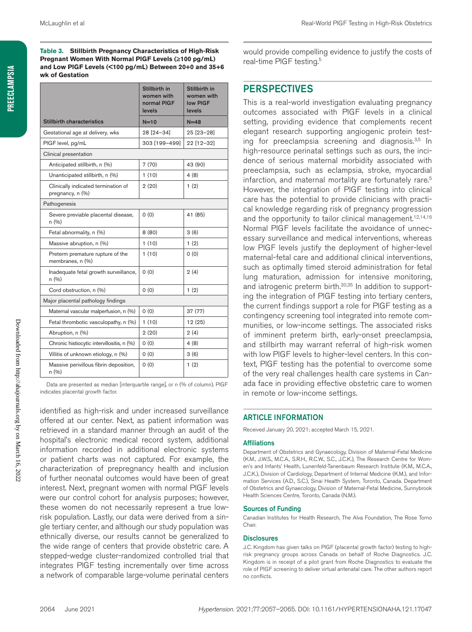**Table 3. Stillbirth Pregnancy Characteristics of High-Risk Pregnant Women With Normal PlGF Levels (≥100 pg/mL) and Low PlGF Levels (<100 pg/mL) Between 20+0 and 35+6 wk of Gestation**

|                                                         | Stillbirth in<br>women with<br>normal PIGF<br>levels | Stillbirth in<br>women with<br>low PIGF<br>levels |  |  |  |
|---------------------------------------------------------|------------------------------------------------------|---------------------------------------------------|--|--|--|
| <b>Stillbirth characteristics</b>                       | $N=10$                                               | $N=48$                                            |  |  |  |
| Gestational age at delivery, wks                        | 28 [24-34]                                           | 25 [23-28]                                        |  |  |  |
| PIGF level, pg/mL                                       | 303 [199-499]                                        | 22 [12-32]                                        |  |  |  |
| Clinical presentation                                   |                                                      |                                                   |  |  |  |
| Anticipated stillbirth, n (%)                           | 7(70)                                                | 43 (90)                                           |  |  |  |
| Unanticipated stillbirth, n (%)                         | 1(10)                                                | 4(8)                                              |  |  |  |
| Clinically indicated termination of<br>pregnancy, n (%) | 2(20)                                                | 1(2)                                              |  |  |  |
| Pathogenesis                                            |                                                      |                                                   |  |  |  |
| Severe previable placental disease,<br>n (%)            | 0(0)                                                 | 41 (85)                                           |  |  |  |
| Fetal abnormality, n (%)                                | 8(80)                                                | 3(6)                                              |  |  |  |
| Massive abruption, n (%)                                | 1(10)                                                | 1(2)                                              |  |  |  |
| Preterm premature rupture of the<br>membranes, n (%)    | 1(10)                                                | 0(0)                                              |  |  |  |
| Inadequate fetal growth surveillance,<br>n (%)          | 0(0)                                                 | 2(4)                                              |  |  |  |
| Cord obstruction, n (%)                                 | 0(0)                                                 | 1(2)                                              |  |  |  |
| Major placental pathology findings                      |                                                      |                                                   |  |  |  |
| Maternal vascular malperfusion, n (%)                   | 0(0)                                                 | 37 (77)                                           |  |  |  |
| Fetal thrombotic vasculopathy, n (%)                    | 1(10)                                                | 12 (25)                                           |  |  |  |
| Abruption, n (%)                                        | 2(20)                                                | 2(4)                                              |  |  |  |
| Chronic histiocytic intervillositis, n (%)              | 0(0)                                                 | 4 (8)                                             |  |  |  |
| Villitis of unknown etiology, n (%)                     | 0(0)                                                 | 3(6)                                              |  |  |  |
| Massive perivillous fibrin deposition,<br>n (%)         | 0(0)                                                 | 1(2)                                              |  |  |  |

Data are presented as median [interquartile range], or n (% of column). PlGF indicates placental growth factor.

identified as high-risk and under increased surveillance offered at our center. Next, as patient information was retrieved in a standard manner through an audit of the hospital's electronic medical record system, additional information recorded in additional electronic systems or patient charts was not captured. For example, the characterization of prepregnancy health and inclusion of further neonatal outcomes would have been of great interest. Next, pregnant women with normal PlGF levels were our control cohort for analysis purposes; however, these women do not necessarily represent a true lowrisk population. Lastly, our data were derived from a single tertiary center, and although our study population was ethnically diverse, our results cannot be generalized to the wide range of centers that provide obstetric care. A stepped-wedge cluster-randomized controlled trial that integrates PlGF testing incrementally over time across a network of comparable large-volume perinatal centers would provide compelling evidence to justify the costs of real-time PIGF testing.<sup>5</sup>

#### **PERSPECTIVES**

This is a real-world investigation evaluating pregnancy outcomes associated with PlGF levels in a clinical setting, providing evidence that complements recent elegant research supporting angiogenic protein testing for preeclampsia screening and diagnosis.<sup>3,5</sup> In high-resource perinatal settings such as ours, the incidence of serious maternal morbidity associated with preeclampsia, such as eclampsia, stroke, myocardial infarction, and maternal mortality are fortunately rare.<sup>5</sup> However, the integration of PlGF testing into clinical care has the potential to provide clinicians with practical knowledge regarding risk of pregnancy progression and the opportunity to tailor clinical management.<sup>12,14,16</sup> Normal PlGF levels facilitate the avoidance of unnecessary surveillance and medical interventions, whereas low PlGF levels justify the deployment of higher-level maternal-fetal care and additional clinical interventions, such as optimally timed steroid administration for fetal lung maturation, admission for intensive monitoring, and iatrogenic preterm birth.<sup>30,35</sup> In addition to supporting the integration of PlGF testing into tertiary centers, the current findings support a role for PlGF testing as a contingency screening tool integrated into remote communities, or low-income settings. The associated risks of imminent preterm birth, early-onset preeclampsia, and stillbirth may warrant referral of high-risk women with low PlGF levels to higher-level centers. In this context, PlGF testing has the potential to overcome some of the very real challenges health care systems in Canada face in providing effective obstetric care to women in remote or low-income settings.

#### ARTICLE INFORMATION

Received January 20, 2021; accepted March 15, 2021.

#### Affiliations

Department of Obstetrics and Gynaecology, Division of Maternal-Fetal Medicine (K.M., J.W.S., M.C.A., S.R.H., R.C.W., S.C., J.C.K.), The Research Centre for Women's and Infants' Health, Lunenfeld-Tanenbaum Research Institute (K.M., M.C.A., J.C.K.), Division of Cardiology, Department of Internal Medicine (K.M.), and Information Services (A.D., S.C.), Sinai Health System, Toronto, Canada. Department of Obstetrics and Gynaecology, Division of Maternal-Fetal Medicine, Sunnybrook Health Sciences Centre, Toronto, Canada (N.M.).

#### Sources of Funding

Canadian Institutes for Health Research, The Alva Foundation, The Rose Torno Chair.

#### **Disclosures**

J.C. Kingdom has given talks on PlGF (placental growth factor) testing to highrisk pregnancy groups across Canada on behalf of Roche Diagnostics. J.C. Kingdom is in receipt of a pilot grant from Roche Diagnostics to evaluate the role of PlGF screening to deliver virtual antenatal care. The other authors report no conflicts.